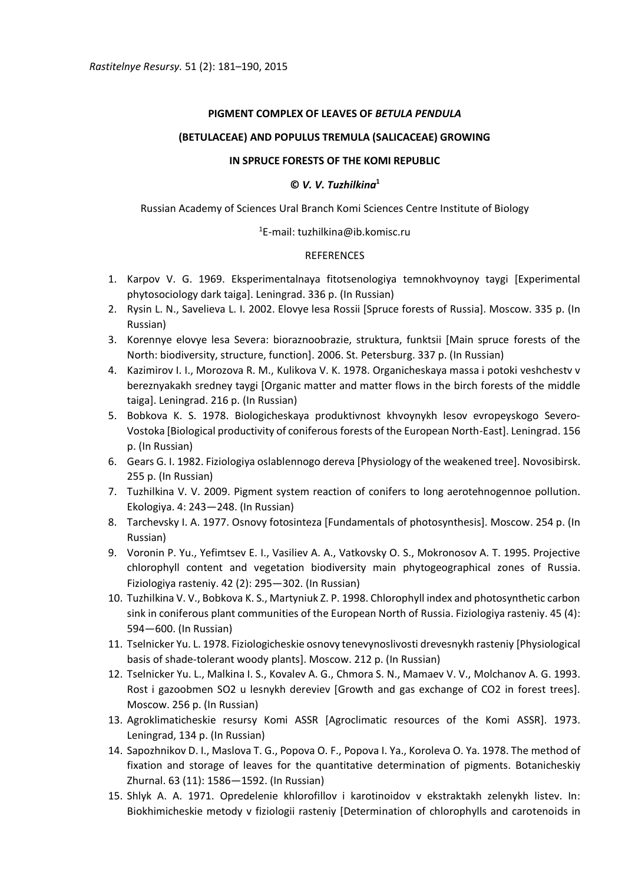## **PIGMENT COMPLEX OF LEAVES OF** *BETULA PENDULA*

# **(BETULACEAE) AND POPULUS TREMULA (SALICACEAE) GROWING**

### **IN SPRUCE FORESTS OF THE KOMI REPUBLIC**

## **©** *V. V. Tuzhilkina***<sup>1</sup>**

Russian Academy of Sciences Ural Branch Komi Sciences Centre Institute of Biology

## $1$ E-mail: tuzhilkina@ib.komisc.ru

## REFERENCES

- 1. Karpov V. G. 1969. Eksperimentalnaya fitotsenologiya temnokhvoynoy taygi [Experimental phytosociology dark taiga]. Leningrad. 336 p. (In Russian)
- 2. Rysin L. N., Savelieva L. I. 2002. Elovye lesa Rossii [Spruce forests of Russia]. Moscow. 335 p. (In Russian)
- 3. Korennye elovye lesa Severa: bioraznoobrazie, struktura, funktsii [Main spruce forests of the North: biodiversity, structure, function]. 2006. St. Petersburg. 337 p. (In Russian)
- 4. Kazimirov I. I., Morozova R. M., Kulikova V. K. 1978. Organicheskaya massa i potoki veshchestv v bereznyakakh sredney taygi [Organic matter and matter flows in the birch forests of the middle taiga]. Leningrad. 216 p. (In Russian)
- 5. Bobkova K. S. 1978. Biologicheskaya produktivnost khvoynykh lesov evropeyskogo Severo-Vostoka [Biological productivity of coniferous forests of the European North-East]. Leningrad. 156 p. (In Russian)
- 6. Gears G. I. 1982. Fiziologiya oslablennogo dereva [Physiology of the weakened tree]. Novosibirsk. 255 p. (In Russian)
- 7. Tuzhilkina V. V. 2009. Pigment system reaction of conifers to long aerotehnogennoe pollution. Ekologiya. 4: 243—248. (In Russian)
- 8. Tarchevsky I. A. 1977. Osnovy fotosinteza [Fundamentals of photosynthesis]. Moscow. 254 p. (In Russian)
- 9. Voronin P. Yu., Yefimtsev E. I., Vasiliev A. A., Vatkovsky O. S., Mokronosov A. T. 1995. Projective chlorophyll content and vegetation biodiversity main phytogeographical zones of Russia. Fiziologiya rasteniy. 42 (2): 295—302. (In Russian)
- 10. Tuzhilkina V. V., Bobkova K. S., Martyniuk Z. P. 1998. Chlorophyll index and photosynthetic carbon sink in coniferous plant communities of the European North of Russia. Fiziologiya rasteniy. 45 (4): 594—600. (In Russian)
- 11. Tselnicker Yu. L. 1978. Fiziologicheskie osnovy tenevynoslivosti drevesnykh rasteniy [Physiological basis of shade-tolerant woody plants]. Moscow. 212 p. (In Russian)
- 12. Tselnicker Yu. L., Malkina I. S., Kovalev A. G., Chmora S. N., Mamaev V. V., Molchanov A. G. 1993. Rost i gazoobmen SO2 u lesnykh dereviev [Growth and gas exchange of CO2 in forest trees]. Moscow. 256 p. (In Russian)
- 13. Agroklimaticheskie resursy Komi ASSR [Agroclimatic resources of the Komi ASSR]. 1973. Leningrad, 134 p. (In Russian)
- 14. Sapozhnikov D. I., Maslova T. G., Popova O. F., Popova I. Ya., Koroleva O. Ya. 1978. The method of fixation and storage of leaves for the quantitative determination of pigments. Botanicheskiy Zhurnal. 63 (11): 1586—1592. (In Russian)
- 15. Shlyk A. A. 1971. Opredelenie khlorofillov i karotinoidov v ekstraktakh zelenykh listev. In: Biokhimicheskie metody v fiziologii rasteniy [Determination of chlorophylls and carotenoids in